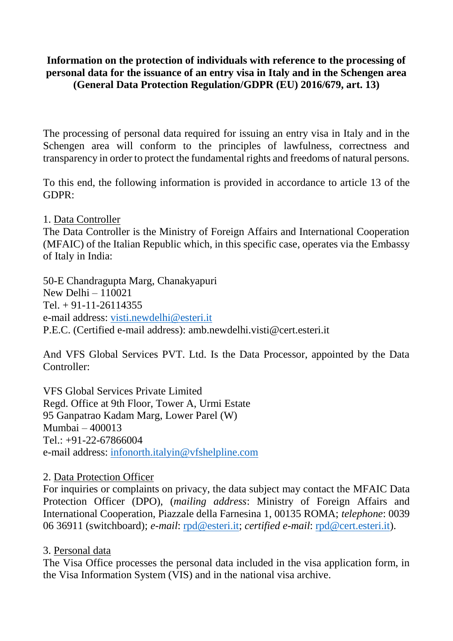## **Information on the protection of individuals with reference to the processing of personal data for the issuance of an entry visa in Italy and in the Schengen area (General Data Protection Regulation/GDPR (EU) 2016/679, art. 13)**

The processing of personal data required for issuing an entry visa in Italy and in the Schengen area will conform to the principles of lawfulness, correctness and transparency in order to protect the fundamental rights and freedoms of natural persons.

To this end, the following information is provided in accordance to article 13 of the GDPR:

1. Data Controller

The Data Controller is the Ministry of Foreign Affairs and International Cooperation (MFAIC) of the Italian Republic which, in this specific case, operates via the Embassy of Italy in India:

50-E Chandragupta Marg, Chanakyapuri New Delhi – 110021  $Tel + 91-11-26114355$ e-mail address: [visti.newdelhi@esteri.it](mailto:visti.newdelhi@esteri.it) P.E.C. (Certified e-mail address): amb.newdelhi.visti@cert.esteri.it

And VFS Global Services PVT. Ltd. Is the Data Processor, appointed by the Data Controller:

VFS Global Services Private Limited Regd. Office at 9th Floor, Tower A, Urmi Estate 95 Ganpatrao Kadam Marg, Lower Parel (W) Mumbai – 400013 Tel.: +91-22-67866004 e-mail address: [infonorth.italyin@vfshelpline.com](mailto:infonorth.italyin@vfshelpline.com)

#### 2. Data Protection Officer

For inquiries or complaints on privacy, the data subject may contact the MFAIC Data Protection Officer (DPO), (*mailing address*: Ministry of Foreign Affairs and International Cooperation, Piazzale della Farnesina 1, 00135 ROMA; *telephone*: 0039 06 36911 (switchboard); *e-mail*: [rpd@esteri.it;](mailto:rpd@esteri.it) *certified e-mail*: [rpd@cert.esteri.it\)](mailto:rpd@cert.esteri.it).

#### 3. Personal data

The Visa Office processes the personal data included in the visa application form, in the Visa Information System (VIS) and in the national visa archive.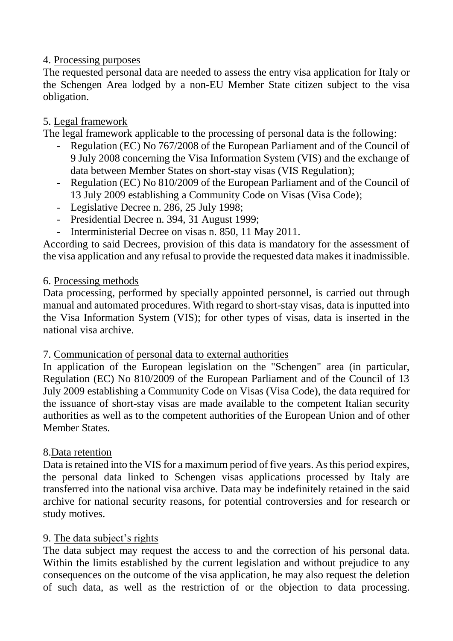### 4. Processing purposes

The requested personal data are needed to assess the entry visa application for Italy or the Schengen Area lodged by a non-EU Member State citizen subject to the visa obligation.

# 5. Legal framework

The legal framework applicable to the processing of personal data is the following:

- Regulation (EC) No 767/2008 of the European Parliament and of the Council of 9 July 2008 concerning the Visa Information System (VIS) and the exchange of data between Member States on short-stay visas (VIS Regulation);
- Regulation (EC) No 810/2009 of the European Parliament and of the Council of 13 July 2009 establishing a Community Code on Visas (Visa Code);
- Legislative Decree n. 286, 25 July 1998;
- Presidential Decree n. 394, 31 August 1999;
- Interministerial Decree on visas n. 850, 11 May 2011.

According to said Decrees, provision of this data is mandatory for the assessment of the visa application and any refusal to provide the requested data makes it inadmissible.

## 6. Processing methods

Data processing, performed by specially appointed personnel, is carried out through manual and automated procedures. With regard to short-stay visas, data is inputted into the Visa Information System (VIS); for other types of visas, data is inserted in the national visa archive.

#### 7. Communication of personal data to external authorities

In application of the European legislation on the "Schengen" area (in particular, Regulation (EC) No 810/2009 of the European Parliament and of the Council of 13 July 2009 establishing a Community Code on Visas (Visa Code), the data required for the issuance of short-stay visas are made available to the competent Italian security authorities as well as to the competent authorities of the European Union and of other Member States.

# 8.Data retention

Data is retained into the VIS for a maximum period of five years. As this period expires, the personal data linked to Schengen visas applications processed by Italy are transferred into the national visa archive. Data may be indefinitely retained in the said archive for national security reasons, for potential controversies and for research or study motives.

# 9. The data subject's rights

The data subject may request the access to and the correction of his personal data. Within the limits established by the current legislation and without prejudice to any consequences on the outcome of the visa application, he may also request the deletion of such data, as well as the restriction of or the objection to data processing.